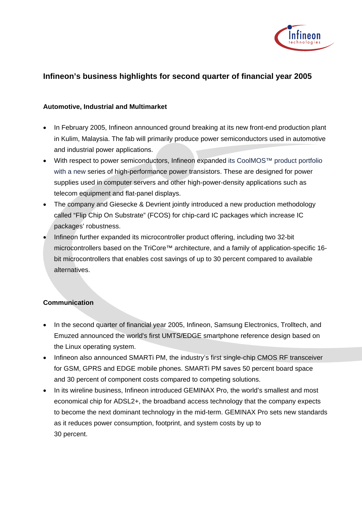

## **Infineon's business highlights for second quarter of financial year 2005**

## **Automotive, Industrial and Multimarket**

- In February 2005, Infineon announced ground breaking at its new front-end production plant in Kulim, Malaysia. The fab will primarily produce power semiconductors used in automotive and industrial power applications.
- With respect to power semiconductors, Infineon expanded its CoolMOS™ product portfolio with a new series of high-performance power transistors. These are designed for power supplies used in computer servers and other high-power-density applications such as telecom equipment and flat-panel displays.
- The company and Giesecke & Devrient jointly introduced a new production methodology called "Flip Chip On Substrate" (FCOS) for chip-card IC packages which increase IC packages' robustness.
- Infineon further expanded its microcontroller product offering, including two 32-bit microcontrollers based on the TriCore™ architecture, and a family of application-specific 16 bit microcontrollers that enables cost savings of up to 30 percent compared to available alternatives.

## **Communication**

- In the second quarter of financial year 2005, Infineon, Samsung Electronics, Trolltech, and Emuzed announced the world's first UMTS/EDGE smartphone reference design based on the Linux operating system.
- Infineon also announced SMARTi PM, the industry's first single-chip CMOS RF transceiver for GSM, GPRS and EDGE mobile phones. SMARTi PM saves 50 percent board space and 30 percent of component costs compared to competing solutions.
- In its wireline business, Infineon introduced GEMINAX Pro, the world's smallest and most economical chip for ADSL2+, the broadband access technology that the company expects to become the next dominant technology in the mid-term. GEMINAX Pro sets new standards as it reduces power consumption, footprint, and system costs by up to 30 percent.